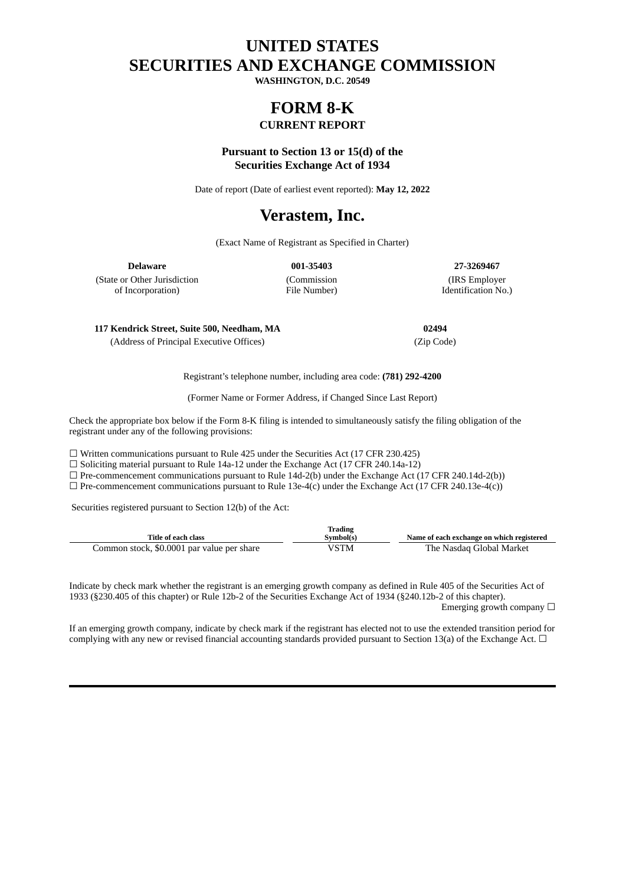### **UNITED STATES SECURITIES AND EXCHANGE COMMISSION**

**WASHINGTON, D.C. 20549**

# **FORM 8-K**

### **CURRENT REPORT**

### **Pursuant to Section 13 or 15(d) of the Securities Exchange Act of 1934**

Date of report (Date of earliest event reported): **May 12, 2022**

## **Verastem, Inc.**

(Exact Name of Registrant as Specified in Charter)

**Delaware 001-35403 27-3269467**

(State or Other Jurisdiction of Incorporation)

(Commission File Number)

(IRS Employer Identification No.)

**117 Kendrick Street, Suite 500, Needham, MA 02494**

(Address of Principal Executive Offices) (Zip Code)

Registrant's telephone number, including area code: **(781) 292-4200**

(Former Name or Former Address, if Changed Since Last Report)

Check the appropriate box below if the Form 8-K filing is intended to simultaneously satisfy the filing obligation of the registrant under any of the following provisions:

☐ Written communications pursuant to Rule 425 under the Securities Act (17 CFR 230.425)

☐ Soliciting material pursuant to Rule 14a-12 under the Exchange Act (17 CFR 240.14a-12)

 $\Box$  Pre-commencement communications pursuant to Rule 14d-2(b) under the Exchange Act (17 CFR 240.14d-2(b))

 $\Box$  Pre-commencement communications pursuant to Rule 13e-4(c) under the Exchange Act (17 CFR 240.13e-4(c))

Securities registered pursuant to Section 12(b) of the Act:

| Trading                                    |           |                          |  |  |
|--------------------------------------------|-----------|--------------------------|--|--|
| Title of each class                        | Svmbol(s) |                          |  |  |
| Common stock, \$0.0001 par value per share | VSTM      | The Nasdag Global Market |  |  |

Indicate by check mark whether the registrant is an emerging growth company as defined in Rule 405 of the Securities Act of 1933 (§230.405 of this chapter) or Rule 12b-2 of the Securities Exchange Act of 1934 (§240.12b-2 of this chapter). Emerging growth company  $\Box$ 

If an emerging growth company, indicate by check mark if the registrant has elected not to use the extended transition period for complying with any new or revised financial accounting standards provided pursuant to Section 13(a) of the Exchange Act.  $\Box$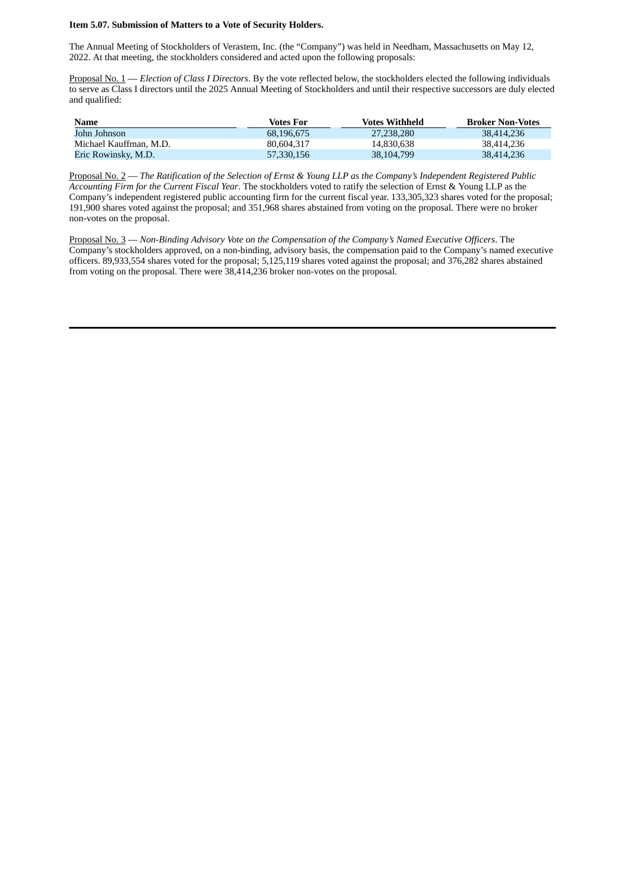#### **Item 5.07. Submission of Matters to a Vote of Security Holders.**

The Annual Meeting of Stockholders of Verastem, Inc. (the "Company") was held in Needham, Massachusetts on May 12, 2022. At that meeting, the stockholders considered and acted upon the following proposals:

Proposal No. 1 — *Election of Class I Directors*. By the vote reflected below, the stockholders elected the following individuals to serve as Class I directors until the 2025 Annual Meeting of Stockholders and until their respective successors are duly elected and qualified:

| Name                   | Votes For  | <b>Votes Withheld</b> | <b>Broker Non-Votes</b> |
|------------------------|------------|-----------------------|-------------------------|
| John Johnson           | 68.196.675 | 27,238,280            | 38,414,236              |
| Michael Kauffman, M.D. | 80.604.317 | 14.830.638            | 38,414,236              |
| Eric Rowinsky, M.D.    | 57,330,156 | 38,104,799            | 38.414.236              |

Proposal No. 2 - The Ratification of the Selection of Ernst & Young LLP as the Company's Independent Registered Public *Accounting Firm for the Current Fiscal Year*. The stockholders voted to ratify the selection of Ernst & Young LLP as the Company's independent registered public accounting firm for the current fiscal year. 133,305,323 shares voted for the proposal; 191,900 shares voted against the proposal; and 351,968 shares abstained from voting on the proposal. There were no broker non-votes on the proposal.

Proposal No. 3 — *Non-Binding Advisory Vote on the Compensation of the Company's Named Executive Officers*. The Company's stockholders approved, on a non-binding, advisory basis, the compensation paid to the Company's named executive officers. 89,933,554 shares voted for the proposal; 5,125,119 shares voted against the proposal; and 376,282 shares abstained from voting on the proposal. There were 38,414,236 broker non-votes on the proposal.